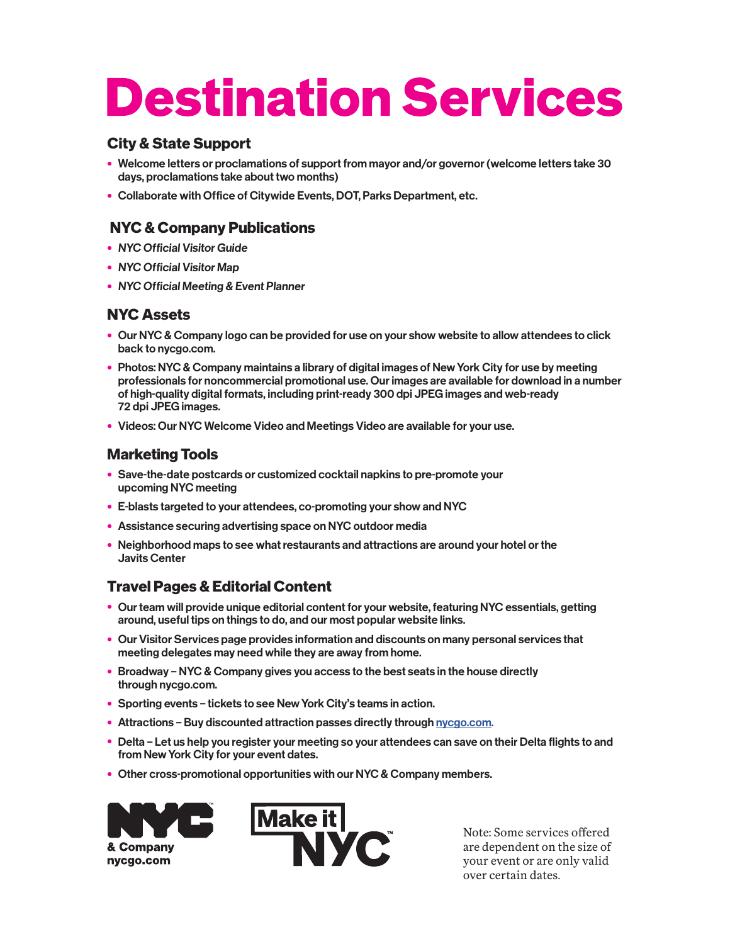# **Destination Services**

## **City & State Support**

- Welcome letters or proclamations of support from mayor and/or governor (welcome letters take 30 days, proclamations take about two months)
- Collaborate with Office of Citywide Events, DOT, Parks Department, etc.

## **NYC & Company Publications**

- NYC Official Visitor Guide
- NYC Official Visitor Map
- NYC Official Meeting & Event Planner

### **NYC Assets**

- Our NYC & Company logo can be provided for use on your show website to allow attendees to click back to nycgo.com.
- Photos: NYC & Company maintains a library of digital images of New York City for use by meeting professionals for noncommercial promotional use. Our images are available for download in a number of high-quality digital formats, including print-ready 300 dpi JPEG images and web-ready 72 dpi JPEG images.
- Videos: Our NYC Welcome Video and Meetings Video are available for your use.

### **Marketing Tools**

- Save-the-date postcards or customized cocktail napkins to pre-promote your upcoming NYC meeting
- E-blasts targeted to your attendees, co-promoting your show and NYC
- Assistance securing advertising space on NYC outdoor media
- Neighborhood maps to see what restaurants and attractions are around your hotel or the Javits Center

## **Travel Pages & Editorial Content**

- Our team will provide unique editorial content for your website, featuring NYC essentials, getting around, useful tips on things to do, and our most popular website links.
- Our Visitor Services page provides information and discounts on many personal services that meeting delegates may need while they are away from home.
- Broadway NYC & Company gives you access to the best seats in the house directly through nycgo.com.
- Sporting events tickets to see New York City's teams in action.
- Attractions Buy discounted attraction passes directly through nycgo.com.
- Delta Let us help you register your meeting so your attendees can save on their Delta flights to and from New York City for your event dates.
- Other cross-promotional opportunities with our NYC & Company members.





Note: Some services offered are dependent on the size of your event or are only valid over certain dates.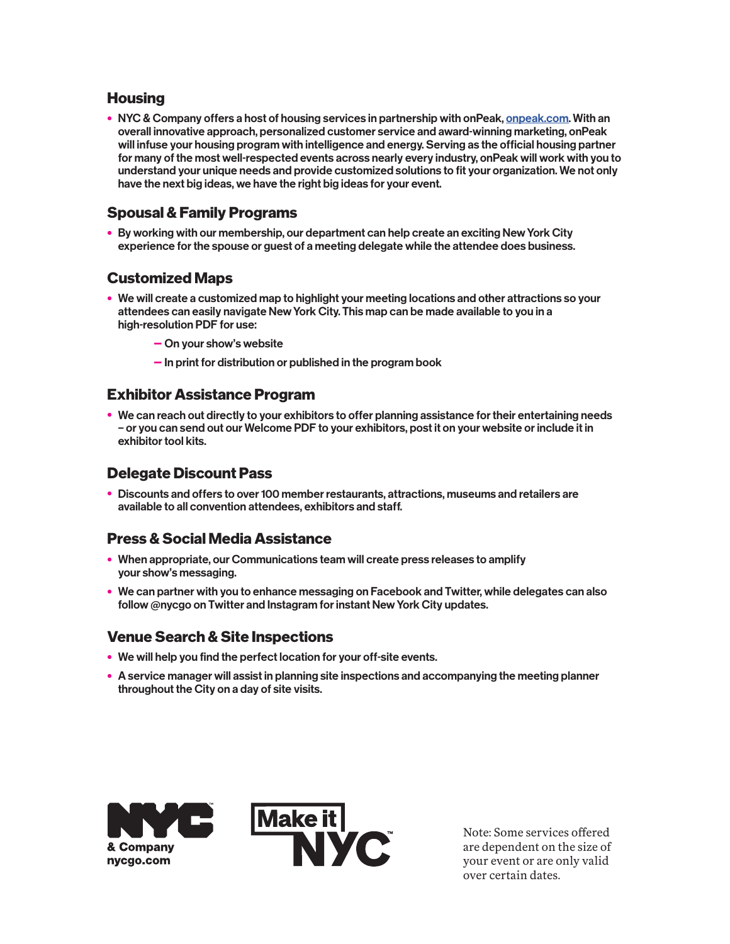#### **Housing**

• NYC & Company offers a host of housing services in partnership with onPeak, onpeak.com. With an overall innovative approach, personalized customer service and award-winning marketing, onPeak will infuse your housing program with intelligence and energy. Serving as the official housing partner for many of the most well-respected events across nearly every industry, onPeak will work with you to understand your unique needs and provide customized solutions to fit your organization. We not only have the next big ideas, we have the right big ideas for your event.

## **Spousal & Family Programs**

• By working with our membership, our department can help create an exciting New York City experience for the spouse or guest of a meeting delegate while the attendee does business.

#### **Customized Maps**

- We will create a customized map to highlight your meeting locations and other attractions so your attendees can easily navigate New York City. This map can be made available to you in a high-resolution PDF for use:
	- On your show's website
	- In print for distribution or published in the program book

#### **Exhibitor Assistance Program**

• We can reach out directly to your exhibitors to offer planning assistance for their entertaining needs – or you can send out our Welcome PDF to your exhibitors, post it on your website or include it in exhibitor tool kits.

#### **Delegate Discount Pass**

• Discounts and offers to over 100 member restaurants, attractions, museums and retailers are available to all convention attendees, exhibitors and staff.

# **Press & Social Media Assistance**

- When appropriate, our Communications team will create press releases to amplify your show's messaging.
- We can partner with you to enhance messaging on Facebook and Twitter, while delegates can also follow @nycgo on Twitter and Instagram for instant New York City updates.

#### **Venue Search & Site Inspections**

- We will help you find the perfect location for your off-site events.
- A service manager will assist in planning site inspections and accompanying the meeting planner throughout the City on a day of site visits.





Note: Some services offered are dependent on the size of your event or are only valid over certain dates.